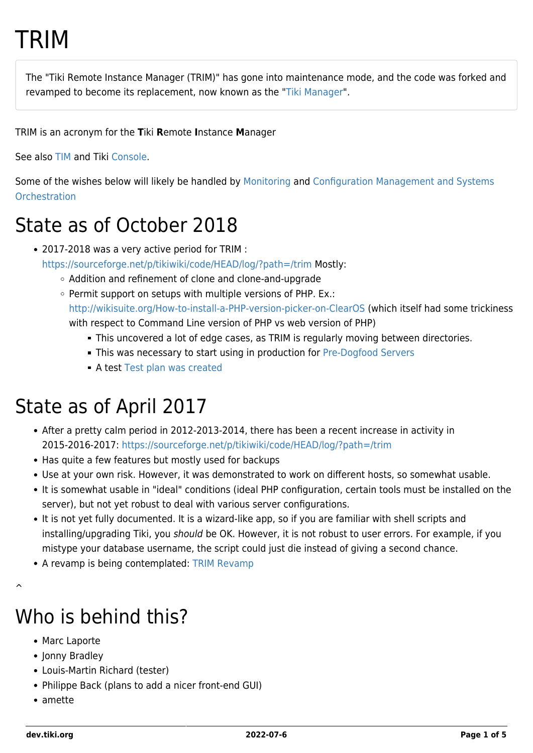# TRIM

The "Tiki Remote Instance Manager (TRIM)" has gone into maintenance mode, and the code was forked and revamped to become its replacement, now known as the "[Tiki Manager](https://dev.tiki.org/Manager)".

TRIM is an acronym for the **T**iki **R**emote **I**nstance **M**anager

See also [TIM](https://dev.tiki.org/TIM) and Tiki [Console.](https://dev.tiki.org/Console)

Some of the wishes below will likely be handled by [Monitoring](https://dev.tiki.org/Monitoring) and [Configuration Management and Systems](https://dev.tiki.org/Configuration-Management-and-Systems-Orchestration) **[Orchestration](https://dev.tiki.org/Configuration-Management-and-Systems-Orchestration)** 

#### State as of October 2018

- 2017-2018 was a very active period for TRIM : <https://sourceforge.net/p/tikiwiki/code/HEAD/log/?path=/trim> Mostly:
	- Addition and refinement of clone and clone-and-upgrade
	- Permit support on setups with multiple versions of PHP. Ex.: <http://wikisuite.org/How-to-install-a-PHP-version-picker-on-ClearOS>(which itself had some trickiness with respect to Command Line version of PHP vs web version of PHP)
		- This uncovered a lot of edge cases, as TRIM is regularly moving between directories.
		- This was necessary to start using in production for [Pre-Dogfood Servers](http://tiki.org/Pre-Dogfood%20Server)
		- **A test [Test plan was created](https://dev.tiki.org/TRIM-Test-Plan)**

### State as of April 2017

- After a pretty calm period in 2012-2013-2014, there has been a recent increase in activity in 2015-2016-2017:<https://sourceforge.net/p/tikiwiki/code/HEAD/log/?path=/trim>
- Has quite a few features but mostly used for backups
- Use at your own risk. However, it was demonstrated to work on different hosts, so somewhat usable.
- It is somewhat usable in "ideal" conditions (ideal PHP configuration, certain tools must be installed on the server), but not yet robust to deal with various server configurations.
- It is not yet fully documented. It is a wizard-like app, so if you are familiar with shell scripts and installing/upgrading Tiki, you should be OK. However, it is not robust to user errors. For example, if you mistype your database username, the script could just die instead of giving a second chance.
- A revamp is being contemplated: [TRIM Revamp](https://dev.tiki.org/TRIM-Revamp)

# Who is behind this?

- Marc Laporte
- Jonny Bradley
- Louis-Martin Richard (tester)
- Philippe Back (plans to add a nicer front-end GUI)
- amette

 $\hat{\phantom{1}}$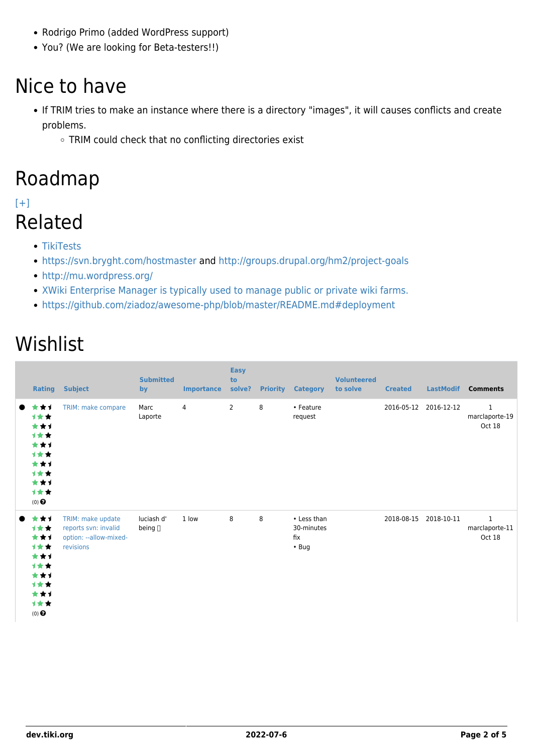- Rodrigo Primo (added WordPress support)
- You? (We are looking for Beta-testers!!)

### Nice to have

- If TRIM tries to make an instance where there is a directory "images", it will causes conflicts and create problems.
	- o TRIM could check that no conflicting directories exist

#### Roadmap

#### [\[+\]](#page--1-0) Related

- [TikiTests](https://dev.tiki.org/TikiTests)
- <https://svn.bryght.com/hostmaster>and<http://groups.drupal.org/hm2/project-goals>
- <http://mu.wordpress.org/>
- [XWiki Enterprise Manager is typically used to manage public or private wiki farms.](http://manager.xwiki.org/xwiki/bin/view/Main/)
- <https://github.com/ziadoz/awesome-php/blob/master/README.md#deployment>

### Wishlist

| Rating                                                                              | <b>Subject</b>                                                                   | <b>Submitted</b><br>by     | <b>Importance</b> | <b>Easy</b><br>to<br>solve? |   | <b>Priority Category</b>                        | <b>Volunteered</b><br>to solve | <b>Created</b> | <b>LastModif</b> | <b>Comments</b>                          |
|-------------------------------------------------------------------------------------|----------------------------------------------------------------------------------|----------------------------|-------------------|-----------------------------|---|-------------------------------------------------|--------------------------------|----------------|------------------|------------------------------------------|
| ***<br>计女女<br>***<br>计女女<br>***<br>***<br>***<br>计女女<br>***<br>计女女<br>$(0)$ $\odot$ | TRIM: make compare                                                               | Marc<br>Laporte            | 4                 | $\overline{2}$              | 8 | • Feature<br>request                            |                                | 2016-05-12     | 2016-12-12       | $\mathbf{1}$<br>marclaporte-19<br>Oct 18 |
| ***<br>计女女<br>***<br>***<br>***<br>计女女<br>***<br>计女女<br>***<br>计女女<br>$(0)$ $\odot$ | TRIM: make update<br>reports svn: invalid<br>option: --allow-mixed-<br>revisions | luciash d'<br>being $\Box$ | 1 low             | 8                           | 8 | • Less than<br>30-minutes<br>fix<br>$\cdot$ Bug |                                | 2018-08-15     | 2018-10-11       | $\mathbf{1}$<br>marclaporte-11<br>Oct 18 |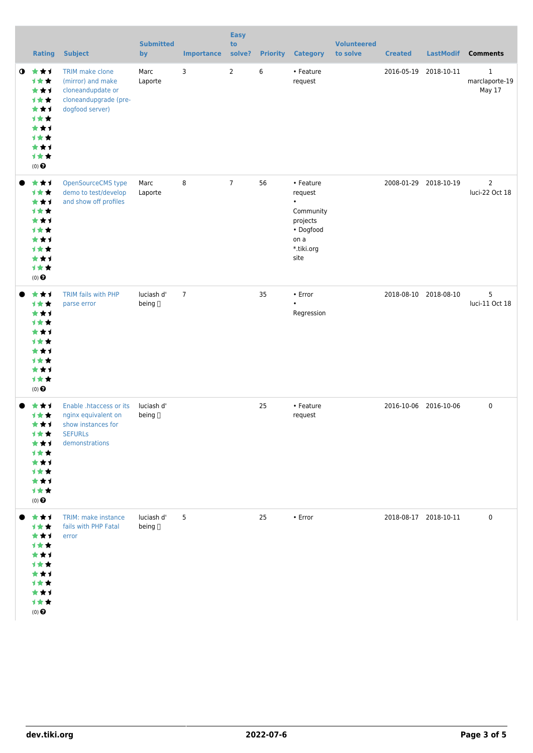|           | <b>Rating</b>                                                                                                                  | <b>Subject</b>                                                                                           | <b>Submitted</b><br>by           | <b>Importance</b> | <b>Easy</b><br>to<br>solve? | <b>Priority</b> | <b>Category</b>                                                                                       | <b>Volunteered</b><br>to solve | <b>Created</b> | <b>LastModif</b>      | <b>Comments</b>                          |
|-----------|--------------------------------------------------------------------------------------------------------------------------------|----------------------------------------------------------------------------------------------------------|----------------------------------|-------------------|-----------------------------|-----------------|-------------------------------------------------------------------------------------------------------|--------------------------------|----------------|-----------------------|------------------------------------------|
| $\bullet$ | ***<br>1★★<br>***<br>1★★<br>★★1<br>1★★<br>***<br><b>1★★</b><br>★★1<br>1★★<br>$(0)$ $\odot$                                     | TRIM make clone<br>(mirror) and make<br>cloneandupdate or<br>cloneandupgrade (pre-<br>dogfood server)    | Marc<br>Laporte                  | 3                 | $\overline{2}$              | 6               | • Feature<br>request                                                                                  |                                |                | 2016-05-19 2018-10-11 | $\mathbf{1}$<br>marclaporte-19<br>May 17 |
|           | ★★1<br>计女女<br>***<br>1★★<br>★★1<br><b>1**</b><br>***<br><b>1**</b><br>***<br>1★★<br>$(0)$ $\odot$                              | OpenSourceCMS type<br>demo to test/develop<br>and show off profiles                                      | Marc<br>Laporte                  | 8                 | $\overline{7}$              | 56              | • Feature<br>request<br>$\bullet$<br>Community<br>projects<br>• Dogfood<br>on a<br>*.tiki.org<br>site |                                |                | 2008-01-29 2018-10-19 | $\overline{2}$<br>luci-22 Oct 18         |
|           | ★★1<br>1★★<br>***<br><b>1★★</b><br>★★1<br><b>1**</b><br>***<br><b>1**</b><br>***<br>***<br>$(0)$ <sup><math>\odot</math></sup> | TRIM fails with PHP<br>parse error                                                                       | luciash d'<br>being []           | $\overline{7}$    |                             | 35              | • Error<br>Regression                                                                                 |                                |                | 2018-08-10 2018-08-10 | 5<br>luci-11 Oct 18                      |
|           | ★★1<br>计女女<br>★★1<br>计女女<br>***<br><b>1★★</b><br>***<br>计女女<br>***<br>计女女<br>$(0)$ $\odot$                                     | Enable .htaccess or its<br>nginx equivalent on<br>show instances for<br><b>SEFURLs</b><br>demonstrations | luciash d'<br>being <sub>□</sub> |                   |                             | 25              | • Feature<br>request                                                                                  |                                |                | 2016-10-06 2016-10-06 | 0                                        |
|           | ***<br><b>1★★</b><br>★★1<br>计女女<br>***<br><b>1★★</b><br>★★1<br>计女女<br>***<br>计女女<br>$(0)$ $\odot$                              | TRIM: make instance<br>fails with PHP Fatal<br>error                                                     | luciash d'<br>being <sub>□</sub> | 5                 |                             | 25              | $\bullet$ Error                                                                                       |                                |                | 2018-08-17 2018-10-11 | 0                                        |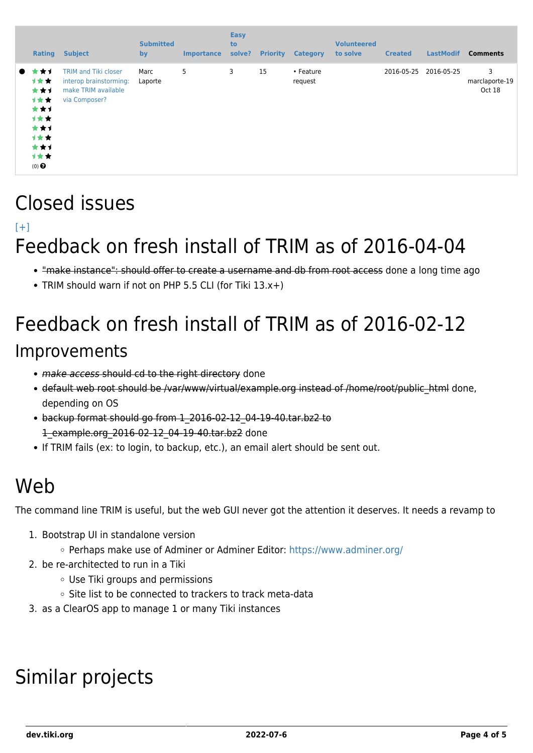| Rating                                                                                              | <b>Subject</b>                                                                                | <b>Submitted</b><br>by | <b>Importance</b> | <b>Easy</b><br>to<br>solve? | <b>Priority</b> | <b>Category</b>      | <b>Volunteered</b><br>to solve | <b>Created</b> | <b>LastModif</b> | <b>Comments</b>               |
|-----------------------------------------------------------------------------------------------------|-----------------------------------------------------------------------------------------------|------------------------|-------------------|-----------------------------|-----------------|----------------------|--------------------------------|----------------|------------------|-------------------------------|
| * * 1<br>$\bullet$<br>计女女<br>***<br>1女女:<br>***<br>计女女<br>***<br>计女女<br>***<br>计女女<br>$(0)$ $\odot$ | <b>TRIM and Tiki closer</b><br>interop brainstorming:<br>make TRIM available<br>via Composer? | Marc<br>Laporte        | 5                 | 3                           | 15              | • Feature<br>request |                                | 2016-05-25     | 2016-05-25       | 3<br>marclaporte-19<br>Oct 18 |

#### Closed issues

#### $[+]$

## Feedback on fresh install of TRIM as of 2016-04-04

- . "make instance": should offer to create a username and db from root access done a long time ago
- TRIM should warn if not on PHP 5.5 CLI (for Tiki 13.x+)

# Feedback on fresh install of TRIM as of 2016-02-12 Improvements

- make access should cd to the right directory done
- default web root should be /var/www/virtual/example.org instead of /home/root/public\_html done, depending on OS
- backup format should go from 1\_2016-02-12\_04-19-40.tar.bz2 to 1\_example.org\_2016-02-12\_04-19-40.tar.bz2 done
- If TRIM fails (ex: to login, to backup, etc.), an email alert should be sent out.

#### Web

The command line TRIM is useful, but the web GUI never got the attention it deserves. It needs a revamp to

- 1. Bootstrap UI in standalone version
	- Perhaps make use of Adminer or Adminer Editor:<https://www.adminer.org/>
- 2. be re-architected to run in a Tiki
	- Use Tiki groups and permissions
	- Site list to be connected to trackers to track meta-data
- 3. as a ClearOS app to manage 1 or many Tiki instances

# Similar projects